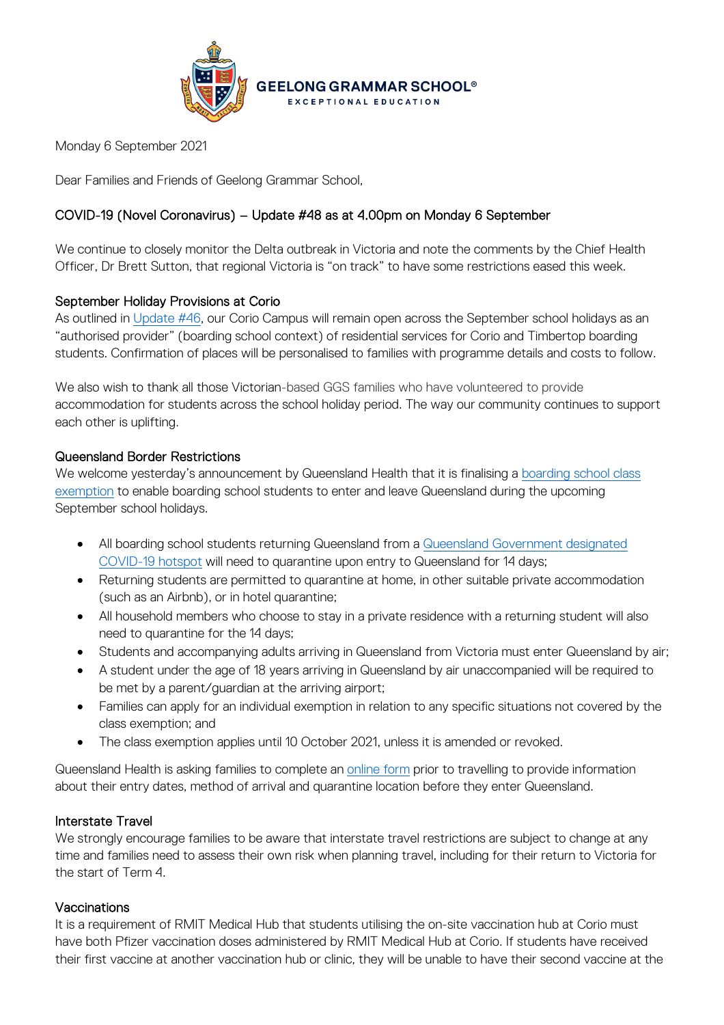

Monday 6 September 2021

Dear Families and Friends of Geelong Grammar School,

# COVID-19 (Novel Coronavirus) – Update #48 as at 4.00pm on Monday 6 September

We continue to closely monitor the Delta outbreak in Victoria and note the comments by the Chief Health Officer, Dr Brett Sutton, that regional Victoria is "on track" to have some restrictions eased this week.

### September Holiday Provisions at Corio

As outlined in [Update #46,](https://www.ggs.vic.edu.au/ArticleDocuments/1007/Coronavirus%20Update%2046_310821.pdf.aspx) our Corio Campus will remain open across the September school holidays as an "authorised provider" (boarding school context) of residential services for Corio and Timbertop boarding students. Confirmation of places will be personalised to families with programme details and costs to follow.

We also wish to thank all those Victorian-based GGS families who have volunteered to provide accommodation for students across the school holiday period. The way our community continues to support each other is uplifting.

### Queensland Border Restrictions

We welcome yesterday's announcement by Queensland Health that it is finalising a boarding school class [exemption](https://www.health.qld.gov.au/covid19/boarding-school-class-exemption) to enable boarding school students to enter and leave Queensland during the upcoming September school holidays.

- All boarding school students returning Queensland from a Queensland Government designated [COVID-19 hotspot](https://www.qld.gov.au/health/conditions/health-alerts/coronavirus-covid-19/current-status/hotspots-covid-19) will need to quarantine upon entry to Queensland for 14 days;
- Returning students are permitted to quarantine at home, in other suitable private accommodation (such as an Airbnb), or in hotel quarantine;
- All household members who choose to stay in a private residence with a returning student will also need to quarantine for the 14 days;
- Students and accompanying adults arriving in Queensland from Victoria must enter Queensland by air;
- A student under the age of 18 years arriving in Queensland by air unaccompanied will be required to be met by a parent/guardian at the arriving airport;
- Families can apply for an individual exemption in relation to any specific situations not covered by the class exemption; and
- The class exemption applies until 10 October 2021, unless it is amended or revoked.

Queensland Health is asking families to complete an [online form](https://www.health.qld.gov.au/covid19/boarding-school-class-exemption) prior to travelling to provide information about their entry dates, method of arrival and quarantine location before they enter Queensland.

#### Interstate Travel

We strongly encourage families to be aware that interstate travel restrictions are subject to change at any time and families need to assess their own risk when planning travel, including for their return to Victoria for the start of Term 4.

#### **Vaccinations**

It is a requirement of RMIT Medical Hub that students utilising the on-site vaccination hub at Corio must have both Pfizer vaccination doses administered by RMIT Medical Hub at Corio. If students have received their first vaccine at another vaccination hub or clinic, they will be unable to have their second vaccine at the